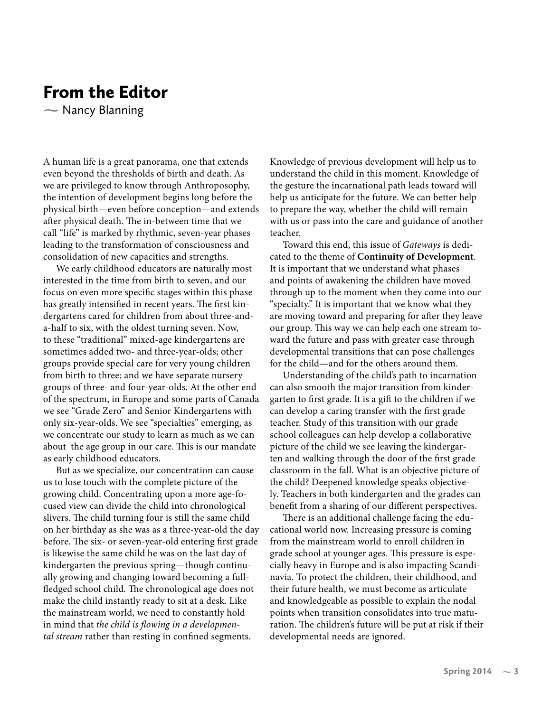## From the Editor

- Nancy Blanning  $\sum_{i=1}^{n}$ 

A human life is a great panorama, one that extends even beyond the thresholds of birth and death. As we are privileged to know through Anthroposophy, the intention of development begins long before the physical birth—even before conception—and extends after physical death. The in-between time that we call "life" is marked by rhythmic, seven-year phases leading to the transformation of consciousness and consolidation of new capacities and strengths.

We early childhood educators are naturally most interested in the time from birth to seven, and our focus on even more specific stages within this phase has greatly intensified in recent years. The first kindergartens cared for children from about three-anda-half to six, with the oldest turning seven. Now, to these "traditional" mixed-age kindergartens are sometimes added two- and three-year-olds; other groups provide special care for very young children from birth to three; and we have separate nursery groups of three- and four-year-olds. At the other end of the spectrum, in Europe and some parts of Canada we see "Grade Zero" and Senior Kindergartens with only six-year-olds. We see "specialties" emerging, as we concentrate our study to learn as much as we can about the age group in our care. This is our mandate as early childhood educators.

But as we specialize, our concentration can cause us to lose touch with the complete picture of the growing child. Concentrating upon a more age-focused view can divide the child into chronological slivers. The child turning four is still the same child on her birthday as she was as a three-year-old the day before. The six- or seven-year-old entering first grade is likewise the same child he was on the last day of kindergarten the previous spring—though continually growing and changing toward becoming a fullfledged school child. The chronological age does not make the child instantly ready to sit at a desk. Like the mainstream world, we need to constantly hold in mind that *the child is flowing in a developmental stream* rather than resting in confined segments.

Knowledge of previous development will help us to understand the child in this moment. Knowledge of the gesture the incarnational path leads toward will help us anticipate for the future. We can better help to prepare the way, whether the child will remain with us or pass into the care and guidance of another teacher.

Toward this end, this issue of *Gateways* is dedicated to the theme of **Continuity of Development**. It is important that we understand what phases and points of awakening the children have moved through up to the moment when they come into our "specialty." It is important that we know what they are moving toward and preparing for after they leave our group. This way we can help each one stream toward the future and pass with greater ease through developmental transitions that can pose challenges for the child—and for the others around them.

Understanding of the child's path to incarnation can also smooth the major transition from kindergarten to first grade. It is a gift to the children if we can develop a caring transfer with the first grade teacher. Study of this transition with our grade school colleagues can help develop a collaborative picture of the child we see leaving the kindergarten and walking through the door of the first grade classroom in the fall. What is an objective picture of the child? Deepened knowledge speaks objectively. Teachers in both kindergarten and the grades can benefit from a sharing of our different perspectives.

There is an additional challenge facing the educational world now. Increasing pressure is coming from the mainstream world to enroll children in grade school at younger ages. This pressure is especially heavy in Europe and is also impacting Scandinavia. To protect the children, their childhood, and their future health, we must become as articulate and knowledgeable as possible to explain the nodal points when transition consolidates into true maturation. The children's future will be put at risk if their developmental needs are ignored.